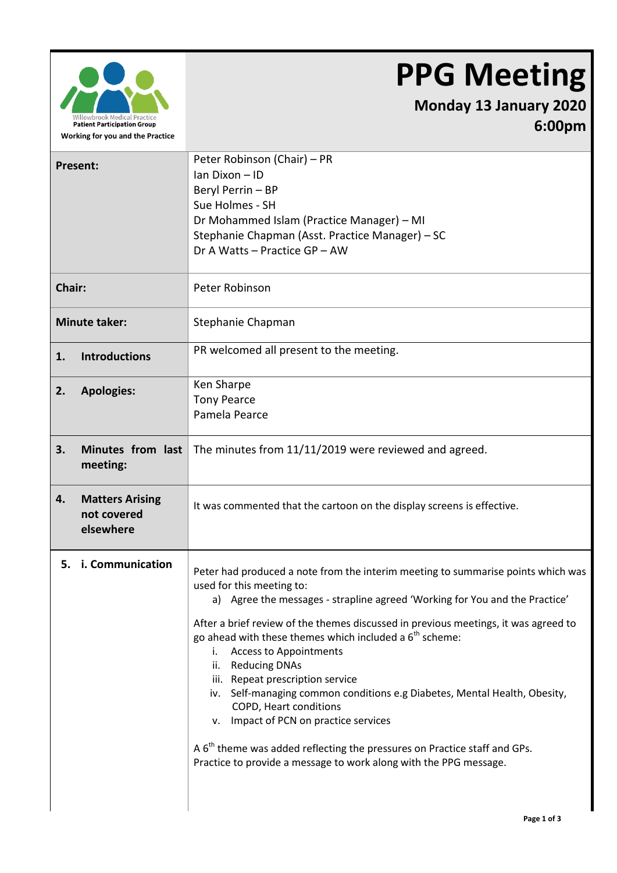

## **PPG Meeting**

## **Monday 13 January 2020 6:00pm**

| Present:                                                 | Peter Robinson (Chair) - PR<br>Ian Dixon - ID<br>Beryl Perrin - BP<br>Sue Holmes - SH<br>Dr Mohammed Islam (Practice Manager) – MI<br>Stephanie Chapman (Asst. Practice Manager) - SC<br>Dr A Watts - Practice GP - AW                                                                                                                                                                                                                                                                                                                                                                                                                                                                                                                               |
|----------------------------------------------------------|------------------------------------------------------------------------------------------------------------------------------------------------------------------------------------------------------------------------------------------------------------------------------------------------------------------------------------------------------------------------------------------------------------------------------------------------------------------------------------------------------------------------------------------------------------------------------------------------------------------------------------------------------------------------------------------------------------------------------------------------------|
| Chair:                                                   | Peter Robinson                                                                                                                                                                                                                                                                                                                                                                                                                                                                                                                                                                                                                                                                                                                                       |
| <b>Minute taker:</b>                                     | Stephanie Chapman                                                                                                                                                                                                                                                                                                                                                                                                                                                                                                                                                                                                                                                                                                                                    |
| <b>Introductions</b><br>1.                               | PR welcomed all present to the meeting.                                                                                                                                                                                                                                                                                                                                                                                                                                                                                                                                                                                                                                                                                                              |
| <b>Apologies:</b><br>2.                                  | Ken Sharpe<br><b>Tony Pearce</b><br>Pamela Pearce                                                                                                                                                                                                                                                                                                                                                                                                                                                                                                                                                                                                                                                                                                    |
| Minutes from last<br>3.<br>meeting:                      | The minutes from 11/11/2019 were reviewed and agreed.                                                                                                                                                                                                                                                                                                                                                                                                                                                                                                                                                                                                                                                                                                |
| 4.<br><b>Matters Arising</b><br>not covered<br>elsewhere | It was commented that the cartoon on the display screens is effective.                                                                                                                                                                                                                                                                                                                                                                                                                                                                                                                                                                                                                                                                               |
| 5. i. Communication                                      | Peter had produced a note from the interim meeting to summarise points which was<br>used for this meeting to:<br>a) Agree the messages - strapline agreed 'Working for You and the Practice'<br>After a brief review of the themes discussed in previous meetings, it was agreed to<br>go ahead with these themes which included a $6th$ scheme:<br><b>Access to Appointments</b><br>i.<br>ii. Reducing DNAs<br>iii. Repeat prescription service<br>iv. Self-managing common conditions e.g Diabetes, Mental Health, Obesity,<br>COPD, Heart conditions<br>v. Impact of PCN on practice services<br>A $6th$ theme was added reflecting the pressures on Practice staff and GPs.<br>Practice to provide a message to work along with the PPG message. |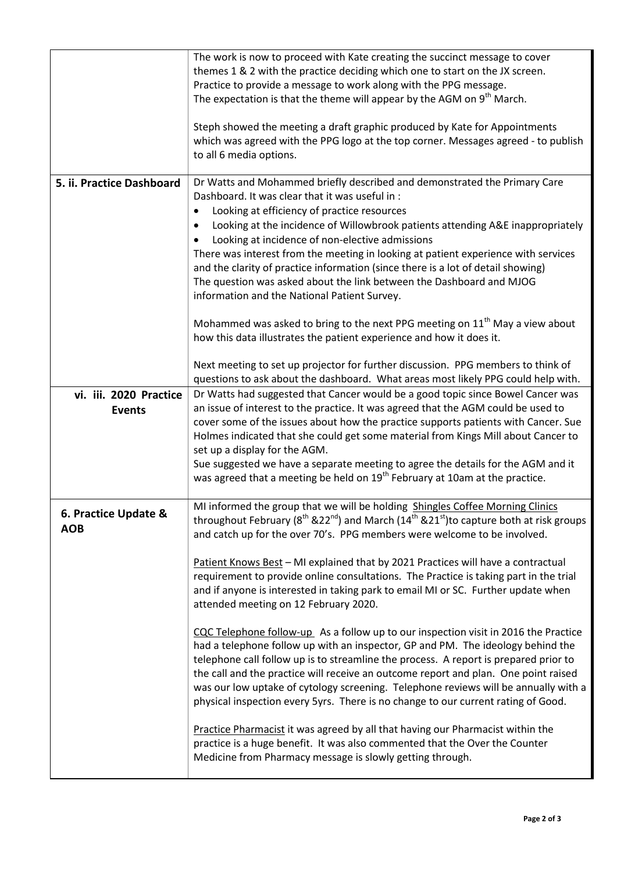|                                         | The work is now to proceed with Kate creating the succinct message to cover<br>themes 1 & 2 with the practice deciding which one to start on the JX screen.<br>Practice to provide a message to work along with the PPG message.<br>The expectation is that the theme will appear by the AGM on 9 <sup>th</sup> March.<br>Steph showed the meeting a draft graphic produced by Kate for Appointments<br>which was agreed with the PPG logo at the top corner. Messages agreed - to publish<br>to all 6 media options.                                                                                                                                                                                                                                                                                                                                                                                                                                                                                                                                                                                                                                                                                                                                                                                                                                                               |
|-----------------------------------------|-------------------------------------------------------------------------------------------------------------------------------------------------------------------------------------------------------------------------------------------------------------------------------------------------------------------------------------------------------------------------------------------------------------------------------------------------------------------------------------------------------------------------------------------------------------------------------------------------------------------------------------------------------------------------------------------------------------------------------------------------------------------------------------------------------------------------------------------------------------------------------------------------------------------------------------------------------------------------------------------------------------------------------------------------------------------------------------------------------------------------------------------------------------------------------------------------------------------------------------------------------------------------------------------------------------------------------------------------------------------------------------|
| 5. ii. Practice Dashboard               | Dr Watts and Mohammed briefly described and demonstrated the Primary Care<br>Dashboard. It was clear that it was useful in:<br>Looking at efficiency of practice resources<br>$\bullet$<br>Looking at the incidence of Willowbrook patients attending A&E inappropriately<br>$\bullet$<br>Looking at incidence of non-elective admissions<br>There was interest from the meeting in looking at patient experience with services<br>and the clarity of practice information (since there is a lot of detail showing)<br>The question was asked about the link between the Dashboard and MJOG<br>information and the National Patient Survey.                                                                                                                                                                                                                                                                                                                                                                                                                                                                                                                                                                                                                                                                                                                                         |
|                                         | Mohammed was asked to bring to the next PPG meeting on 11 <sup>th</sup> May a view about<br>how this data illustrates the patient experience and how it does it.<br>Next meeting to set up projector for further discussion. PPG members to think of<br>questions to ask about the dashboard. What areas most likely PPG could help with.                                                                                                                                                                                                                                                                                                                                                                                                                                                                                                                                                                                                                                                                                                                                                                                                                                                                                                                                                                                                                                           |
| vi. iii. 2020 Practice<br><b>Events</b> | Dr Watts had suggested that Cancer would be a good topic since Bowel Cancer was<br>an issue of interest to the practice. It was agreed that the AGM could be used to<br>cover some of the issues about how the practice supports patients with Cancer. Sue<br>Holmes indicated that she could get some material from Kings Mill about Cancer to<br>set up a display for the AGM.<br>Sue suggested we have a separate meeting to agree the details for the AGM and it<br>was agreed that a meeting be held on 19 <sup>th</sup> February at 10am at the practice.                                                                                                                                                                                                                                                                                                                                                                                                                                                                                                                                                                                                                                                                                                                                                                                                                     |
| 6. Practice Update &<br><b>AOB</b>      | MI informed the group that we will be holding Shingles Coffee Morning Clinics<br>throughout February ( $8^{\text{th}}$ &22 <sup>nd</sup> ) and March (14 <sup>th</sup> &21 <sup>st</sup> ) to capture both at risk groups<br>and catch up for the over 70's. PPG members were welcome to be involved.<br>Patient Knows Best - MI explained that by 2021 Practices will have a contractual<br>requirement to provide online consultations. The Practice is taking part in the trial<br>and if anyone is interested in taking park to email MI or SC. Further update when<br>attended meeting on 12 February 2020.<br>CQC Telephone follow-up As a follow up to our inspection visit in 2016 the Practice<br>had a telephone follow up with an inspector, GP and PM. The ideology behind the<br>telephone call follow up is to streamline the process. A report is prepared prior to<br>the call and the practice will receive an outcome report and plan. One point raised<br>was our low uptake of cytology screening. Telephone reviews will be annually with a<br>physical inspection every 5yrs. There is no change to our current rating of Good.<br>Practice Pharmacist it was agreed by all that having our Pharmacist within the<br>practice is a huge benefit. It was also commented that the Over the Counter<br>Medicine from Pharmacy message is slowly getting through. |